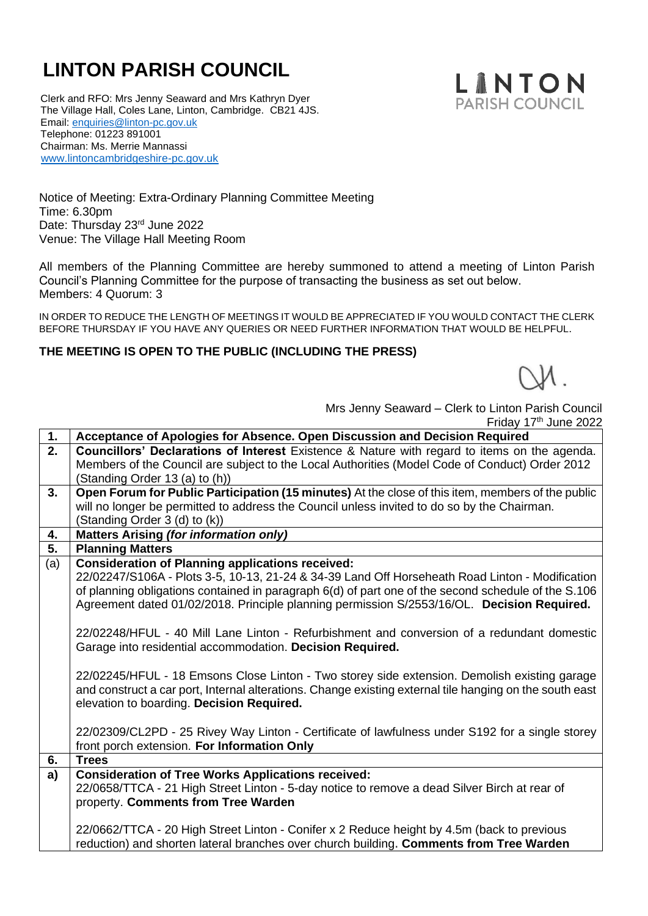## **LINTON PARISH COUNCIL**

 Clerk and RFO: Mrs Jenny Seaward and Mrs Kathryn Dyer The Village Hall, Coles Lane, Linton, Cambridge. CB21 4JS. Email: [enquiries@linton-pc.gov.uk](mailto:enquiries@linton-pc.gov.uk) Telephone: 01223 891001 Chairman: Ms. Merrie Mannassi [www.lintoncambridgeshire-pc.gov.uk](http://www.lintoncambridgeshire-pc.gov.uk/)



Notice of Meeting: Extra-Ordinary Planning Committee Meeting Time: 6.30pm Date: Thursday 23rd June 2022 Venue: The Village Hall Meeting Room

All members of the Planning Committee are hereby summoned to attend a meeting of Linton Parish Council's Planning Committee for the purpose of transacting the business as set out below. Members: 4 Quorum: 3

IN ORDER TO REDUCE THE LENGTH OF MEETINGS IT WOULD BE APPRECIATED IF YOU WOULD CONTACT THE CLERK BEFORE THURSDAY IF YOU HAVE ANY QUERIES OR NEED FURTHER INFORMATION THAT WOULD BE HELPFUL.

## **THE MEETING IS OPEN TO THE PUBLIC (INCLUDING THE PRESS)**

 Mrs Jenny Seaward – Clerk to Linton Parish Council Friday 17<sup>th</sup> June 2022

| 1.  | Acceptance of Apologies for Absence. Open Discussion and Decision Required                              |
|-----|---------------------------------------------------------------------------------------------------------|
| 2.  | <b>Councillors' Declarations of Interest</b> Existence & Nature with regard to items on the agenda.     |
|     | Members of the Council are subject to the Local Authorities (Model Code of Conduct) Order 2012          |
|     | (Standing Order 13 (a) to (h))                                                                          |
| 3.  | Open Forum for Public Participation (15 minutes) At the close of this item, members of the public       |
|     | will no longer be permitted to address the Council unless invited to do so by the Chairman.             |
|     | (Standing Order 3 (d) to (k))                                                                           |
| 4.  | <b>Matters Arising (for information only)</b>                                                           |
| 5.  | <b>Planning Matters</b>                                                                                 |
| (a) | <b>Consideration of Planning applications received:</b>                                                 |
|     | 22/02247/S106A - Plots 3-5, 10-13, 21-24 & 34-39 Land Off Horseheath Road Linton - Modification         |
|     | of planning obligations contained in paragraph 6(d) of part one of the second schedule of the S.106     |
|     | Agreement dated 01/02/2018. Principle planning permission S/2553/16/OL. Decision Required.              |
|     |                                                                                                         |
|     | 22/02248/HFUL - 40 Mill Lane Linton - Refurbishment and conversion of a redundant domestic              |
|     | Garage into residential accommodation. Decision Required.                                               |
|     |                                                                                                         |
|     | 22/02245/HFUL - 18 Emsons Close Linton - Two storey side extension. Demolish existing garage            |
|     | and construct a car port, Internal alterations. Change existing external tile hanging on the south east |
|     | elevation to boarding. Decision Required.                                                               |
|     |                                                                                                         |
|     | 22/02309/CL2PD - 25 Rivey Way Linton - Certificate of lawfulness under S192 for a single storey         |
|     | front porch extension. For Information Only                                                             |
| 6.  | <b>Trees</b>                                                                                            |
| a)  | <b>Consideration of Tree Works Applications received:</b>                                               |
|     | 22/0658/TTCA - 21 High Street Linton - 5-day notice to remove a dead Silver Birch at rear of            |
|     | property. Comments from Tree Warden                                                                     |
|     |                                                                                                         |
|     | 22/0662/TTCA - 20 High Street Linton - Conifer x 2 Reduce height by 4.5m (back to previous              |
|     | reduction) and shorten lateral branches over church building. Comments from Tree Warden                 |